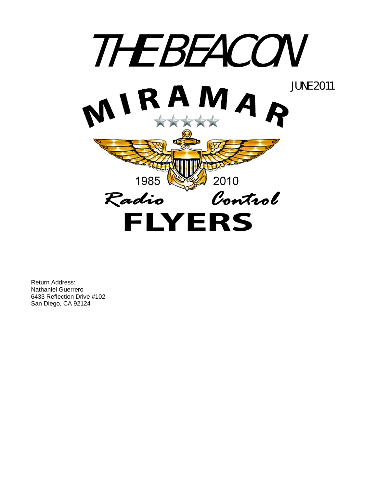

Return Address: Nathaniel Guerrero 6433 Reflection Drive #102 San Diego, CA 92124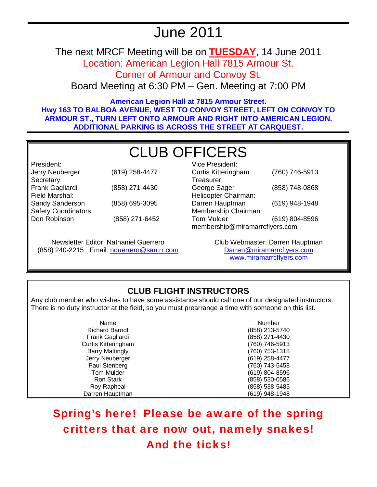# June 2011

The next MRCF Meeting will be on **TUESDAY**, 14 June 2011

Location: American Legion Hall 7815 Armour St.

Corner of Armour and Convoy St.

Board Meeting at 6:30 PM – Gen. Meeting at 7:00 PM

**American Legion Hall at 7815 Armour Street. Hwy 163 TO BALBOA AVENUE, WEST TO CONVOY STREET, LEFT ON CONVOY TO ARMOUR ST., TURN LEFT ONTO ARMOUR AND RIGHT INTO AMERICAN LEGION. ADDITIONAL PARKING IS ACROSS THE STREET AT CARQUEST.** 

# CLUB OFFICERS

President: Jerry Neuberger (619) 258-4477 Secretary: Frank Gagliardi (858) 271-4430 Field Marshal: Sandy Sanderson (858) 695-3095 Safety Coordinators: Don Robinson (858) 271-6452

Newsletter Editor: Nathaniel Guerrero (858) 240-2215 Email: nguerrero@san.rr.com

| <b>Vice President:</b>         |                |
|--------------------------------|----------------|
| <b>Curtis Kitteringham</b>     | (760) 746-5913 |
| Treasurer:                     |                |
| George Sager                   | (858) 748-0868 |
| Helicopter Chairman:           |                |
| Darren Hauptman                | (619) 948-1948 |
| Membership Chairman:           |                |
| <b>Tom Mulder</b>              | (619) 804-8596 |
| membership@miramarrcflyers.com |                |

Club Webmaster: Darren Hauptman Darren@miramarrcflyers.com www.miramarrcflyers.com

# **CLUB FLIGHT INSTRUCTORS**

Any club member who wishes to have some assistance should call one of our designated instructors. There is no duty instructor at the field, so you must prearrange a time with someone on this list.

> Name Number Richard Barndt (858) 213-5740 Frank Gagliardi (858) 271-4430 Curtis Kitteringham (760) 746-5913 Barry Mattingly (760) 753-1318 Jerry Neuberger (619) 258-4477 Paul Stenberg (760) 743-5458 Tom Mulder (619) 804-8596 (858) 530-0586 Roy Rapheal (858) 538-5485 Darren Hauptman (619) 948-1948

Spring's here! Please be aware of the spring critters that are now out, namely snakes! And the ticks!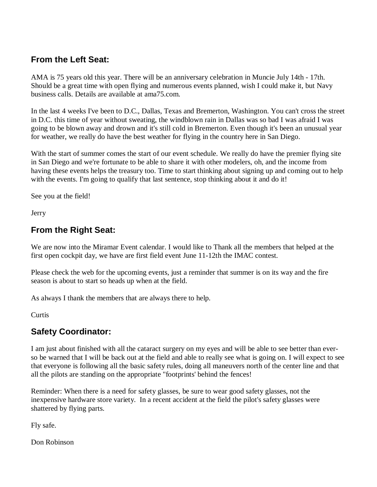## **From the Left Seat:**

AMA is 75 years old this year. There will be an anniversary celebration in Muncie July 14th - 17th. Should be a great time with open flying and numerous events planned, wish I could make it, but Navy business calls. Details are available at ama75.com.

In the last 4 weeks I've been to D.C., Dallas, Texas and Bremerton, Washington. You can't cross the street in D.C. this time of year without sweating, the windblown rain in Dallas was so bad I was afraid I was going to be blown away and drown and it's still cold in Bremerton. Even though it's been an unusual year for weather, we really do have the best weather for flying in the country here in San Diego.

With the start of summer comes the start of our event schedule. We really do have the premier flying site in San Diego and we're fortunate to be able to share it with other modelers, oh, and the income from having these events helps the treasury too. Time to start thinking about signing up and coming out to help with the events. I'm going to qualify that last sentence, stop thinking about it and do it!

See you at the field!

Jerry

## **From the Right Seat:**

We are now into the Miramar Event calendar. I would like to Thank all the members that helped at the first open cockpit day, we have are first field event June 11-12th the IMAC contest.

Please check the web for the upcoming events, just a reminder that summer is on its way and the fire season is about to start so heads up when at the field.

As always I thank the members that are always there to help.

**Curtis** 

# **Safety Coordinator:**

I am just about finished with all the cataract surgery on my eyes and will be able to see better than everso be warned that I will be back out at the field and able to really see what is going on. I will expect to see that everyone is following all the basic safety rules, doing all maneuvers north of the center line and that all the pilots are standing on the appropriate "footprints' behind the fences!

Reminder: When there is a need for safety glasses, be sure to wear good safety glasses, not the inexpensive hardware store variety. In a recent accident at the field the pilot's safety glasses were shattered by flying parts.

Fly safe.

Don Robinson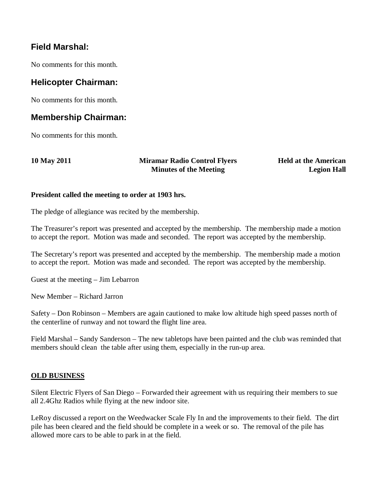## **Field Marshal:**

No comments for this month.

### **Helicopter Chairman:**

No comments for this month.

#### **Membership Chairman:**

No comments for this month.

**10 May 2011 Miramar Radio Control Flyers Minutes of the Meeting** 

**Held at the American Legion Hall**

#### **President called the meeting to order at 1903 hrs.**

The pledge of allegiance was recited by the membership.

The Treasurer's report was presented and accepted by the membership. The membership made a motion to accept the report. Motion was made and seconded. The report was accepted by the membership.

The Secretary's report was presented and accepted by the membership. The membership made a motion to accept the report. Motion was made and seconded. The report was accepted by the membership.

Guest at the meeting – Jim Lebarron

New Member – Richard Jarron

Safety – Don Robinson – Members are again cautioned to make low altitude high speed passes north of the centerline of runway and not toward the flight line area.

Field Marshal – Sandy Sanderson – The new tabletops have been painted and the club was reminded that members should clean the table after using them, especially in the run-up area.

#### **OLD BUSINESS**

Silent Electric Flyers of San Diego – Forwarded their agreement with us requiring their members to sue all 2.4Ghz Radios while flying at the new indoor site.

LeRoy discussed a report on the Weedwacker Scale Fly In and the improvements to their field. The dirt pile has been cleared and the field should be complete in a week or so. The removal of the pile has allowed more cars to be able to park in at the field.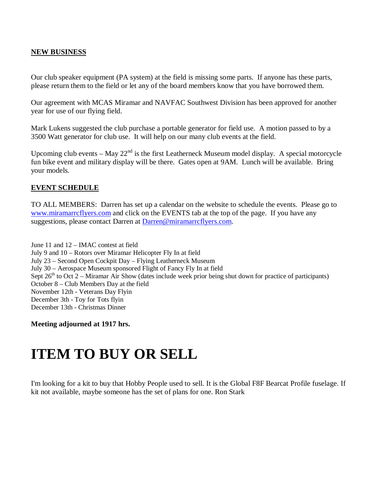#### **NEW BUSINESS**

Our club speaker equipment (PA system) at the field is missing some parts. If anyone has these parts, please return them to the field or let any of the board members know that you have borrowed them.

Our agreement with MCAS Miramar and NAVFAC Southwest Division has been approved for another year for use of our flying field.

Mark Lukens suggested the club purchase a portable generator for field use. A motion passed to by a 3500 Watt generator for club use. It will help on our many club events at the field.

Upcoming club events – May  $22<sup>nd</sup>$  is the first Leatherneck Museum model display. A special motorcycle fun bike event and military display will be there. Gates open at 9AM. Lunch will be available. Bring your models.

#### **EVENT SCHEDULE**

TO ALL MEMBERS: Darren has set up a calendar on the website to schedule the events. Please go to www.miramarrcflyers.com and click on the EVENTS tab at the top of the page. If you have any suggestions, please contact Darren at Darren@miramarrcflyers.com.

June 11 and 12 – IMAC contest at field July 9 and 10 – Rotors over Miramar Helicopter Fly In at field July 23 – Second Open Cockpit Day – Flying Leatherneck Museum July 30 – Aerospace Museum sponsored Flight of Fancy Fly In at field Sept  $26<sup>th</sup>$  to Oct 2 – Miramar Air Show (dates include week prior being shut down for practice of participants) October 8 – Club Members Day at the field November 12th - Veterans Day Flyin December 3th - Toy for Tots flyin December 13th - Christmas Dinner

**Meeting adjourned at 1917 hrs.** 

# **ITEM TO BUY OR SELL**

I'm looking for a kit to buy that Hobby People used to sell. It is the Global F8F Bearcat Profile fuselage. If kit not available, maybe someone has the set of plans for one. Ron Stark